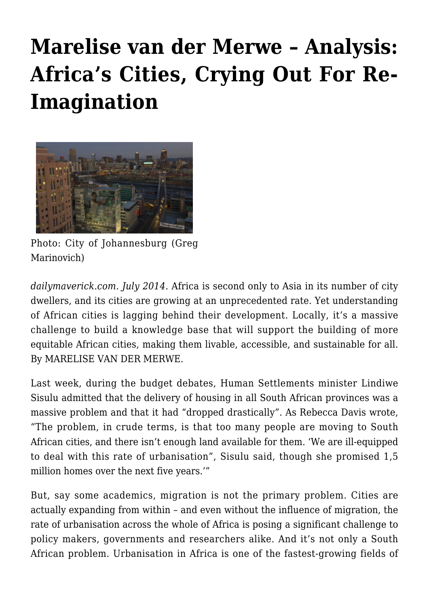## **[Marelise van der Merwe – Analysis:](https://rozenbergquarterly.com/marelise-van-der-merwe-analysis-africas-cities-crying-out-for-re-imagination/) [Africa's Cities, Crying Out For Re-](https://rozenbergquarterly.com/marelise-van-der-merwe-analysis-africas-cities-crying-out-for-re-imagination/)[Imagination](https://rozenbergquarterly.com/marelise-van-der-merwe-analysis-africas-cities-crying-out-for-re-imagination/)**



Photo: City of Johannesburg (Greg Marinovich)

*dailymaverick.com. July 2014.* Africa is second only to Asia in its number of city dwellers, and its cities are growing at an unprecedented rate. Yet understanding of African cities is lagging behind their development. Locally, it's a massive challenge to build a knowledge base that will support the building of more equitable African cities, making them livable, accessible, and sustainable for all. By MARELISE VAN DER MERWE.

Last week, during the budget debates, Human Settlements minister Lindiwe Sisulu admitted that the delivery of housing in all South African provinces was a massive problem and that it had "dropped drastically". As Rebecca Davis wrote, "The problem, in crude terms, is that too many people are moving to South African cities, and there isn't enough land available for them. 'We are ill-equipped to deal with this rate of urbanisation", Sisulu said, though she promised 1,5 million homes over the next five years.'"

But, say some academics, migration is not the primary problem. Cities are actually expanding from within – and even without the influence of migration, the rate of urbanisation across the whole of Africa is posing a significant challenge to policy makers, governments and researchers alike. And it's not only a South African problem. Urbanisation in Africa is one of the fastest-growing fields of